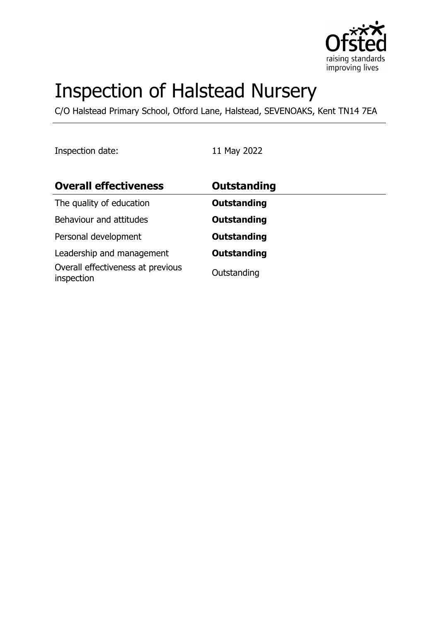

# Inspection of Halstead Nursery

C/O Halstead Primary School, Otford Lane, Halstead, SEVENOAKS, Kent TN14 7EA

Inspection date: 11 May 2022

| <b>Overall effectiveness</b>                    | <b>Outstanding</b> |
|-------------------------------------------------|--------------------|
| The quality of education                        | <b>Outstanding</b> |
| Behaviour and attitudes                         | <b>Outstanding</b> |
| Personal development                            | <b>Outstanding</b> |
| Leadership and management                       | <b>Outstanding</b> |
| Overall effectiveness at previous<br>inspection | Outstanding        |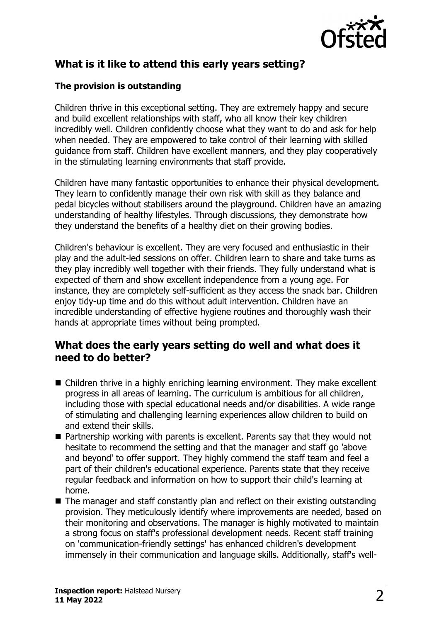

# **What is it like to attend this early years setting?**

#### **The provision is outstanding**

Children thrive in this exceptional setting. They are extremely happy and secure and build excellent relationships with staff, who all know their key children incredibly well. Children confidently choose what they want to do and ask for help when needed. They are empowered to take control of their learning with skilled guidance from staff. Children have excellent manners, and they play cooperatively in the stimulating learning environments that staff provide.

Children have many fantastic opportunities to enhance their physical development. They learn to confidently manage their own risk with skill as they balance and pedal bicycles without stabilisers around the playground. Children have an amazing understanding of healthy lifestyles. Through discussions, they demonstrate how they understand the benefits of a healthy diet on their growing bodies.

Children's behaviour is excellent. They are very focused and enthusiastic in their play and the adult-led sessions on offer. Children learn to share and take turns as they play incredibly well together with their friends. They fully understand what is expected of them and show excellent independence from a young age. For instance, they are completely self-sufficient as they access the snack bar. Children enjoy tidy-up time and do this without adult intervention. Children have an incredible understanding of effective hygiene routines and thoroughly wash their hands at appropriate times without being prompted.

### **What does the early years setting do well and what does it need to do better?**

- $\blacksquare$  Children thrive in a highly enriching learning environment. They make excellent progress in all areas of learning. The curriculum is ambitious for all children, including those with special educational needs and/or disabilities. A wide range of stimulating and challenging learning experiences allow children to build on and extend their skills.
- $\blacksquare$  Partnership working with parents is excellent. Parents say that they would not hesitate to recommend the setting and that the manager and staff go 'above and beyond' to offer support. They highly commend the staff team and feel a part of their children's educational experience. Parents state that they receive regular feedback and information on how to support their child's learning at home.
- $\blacksquare$  The manager and staff constantly plan and reflect on their existing outstanding provision. They meticulously identify where improvements are needed, based on their monitoring and observations. The manager is highly motivated to maintain a strong focus on staff's professional development needs. Recent staff training on 'communication-friendly settings' has enhanced children's development immensely in their communication and language skills. Additionally, staff's well-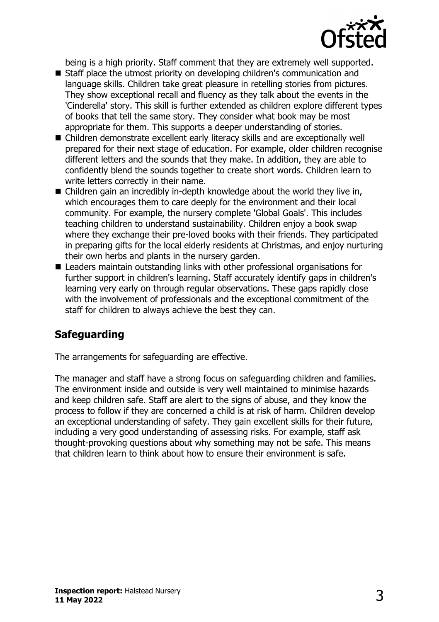

being is a high priority. Staff comment that they are extremely well supported.

- Staff place the utmost priority on developing children's communication and language skills. Children take great pleasure in retelling stories from pictures. They show exceptional recall and fluency as they talk about the events in the 'Cinderella' story. This skill is further extended as children explore different types of books that tell the same story. They consider what book may be most appropriate for them. This supports a deeper understanding of stories.
- Children demonstrate excellent early literacy skills and are exceptionally well prepared for their next stage of education. For example, older children recognise different letters and the sounds that they make. In addition, they are able to confidently blend the sounds together to create short words. Children learn to write letters correctly in their name.
- $\blacksquare$  Children gain an incredibly in-depth knowledge about the world they live in, which encourages them to care deeply for the environment and their local community. For example, the nursery complete 'Global Goals'. This includes teaching children to understand sustainability. Children enjoy a book swap where they exchange their pre-loved books with their friends. They participated in preparing gifts for the local elderly residents at Christmas, and enjoy nurturing their own herbs and plants in the nursery garden.
- Leaders maintain outstanding links with other professional organisations for further support in children's learning. Staff accurately identify gaps in children's learning very early on through regular observations. These gaps rapidly close with the involvement of professionals and the exceptional commitment of the staff for children to always achieve the best they can.

# **Safeguarding**

The arrangements for safeguarding are effective.

The manager and staff have a strong focus on safeguarding children and families. The environment inside and outside is very well maintained to minimise hazards and keep children safe. Staff are alert to the signs of abuse, and they know the process to follow if they are concerned a child is at risk of harm. Children develop an exceptional understanding of safety. They gain excellent skills for their future, including a very good understanding of assessing risks. For example, staff ask thought-provoking questions about why something may not be safe. This means that children learn to think about how to ensure their environment is safe.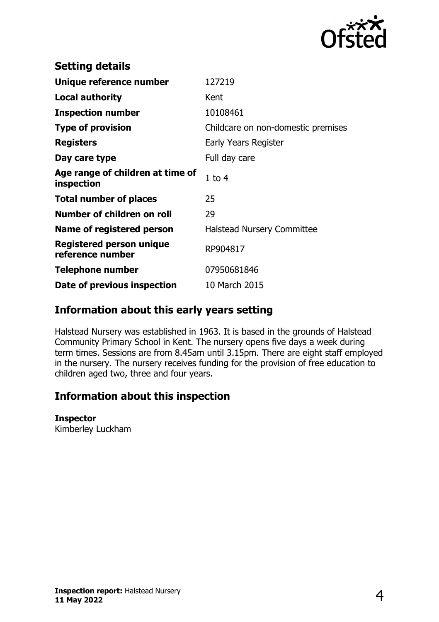

| <b>Setting details</b>                              |                                    |
|-----------------------------------------------------|------------------------------------|
| Unique reference number                             | 127219                             |
| Local authority                                     | Kent                               |
| <b>Inspection number</b>                            | 10108461                           |
| <b>Type of provision</b>                            | Childcare on non-domestic premises |
| <b>Registers</b>                                    | Early Years Register               |
| Day care type                                       | Full day care                      |
| Age range of children at time of<br>inspection      | $1$ to $4$                         |
| <b>Total number of places</b>                       | 25                                 |
| Number of children on roll                          | 29                                 |
| Name of registered person                           | <b>Halstead Nursery Committee</b>  |
| <b>Registered person unique</b><br>reference number | RP904817                           |
| <b>Telephone number</b>                             | 07950681846                        |
| Date of previous inspection                         | 10 March 2015                      |

## **Information about this early years setting**

Halstead Nursery was established in 1963. It is based in the grounds of Halstead Community Primary School in Kent. The nursery opens five days a week during term times. Sessions are from 8.45am until 3.15pm. There are eight staff employed in the nursery. The nursery receives funding for the provision of free education to children aged two, three and four years.

# **Information about this inspection**

#### **Inspector**

Kimberley Luckham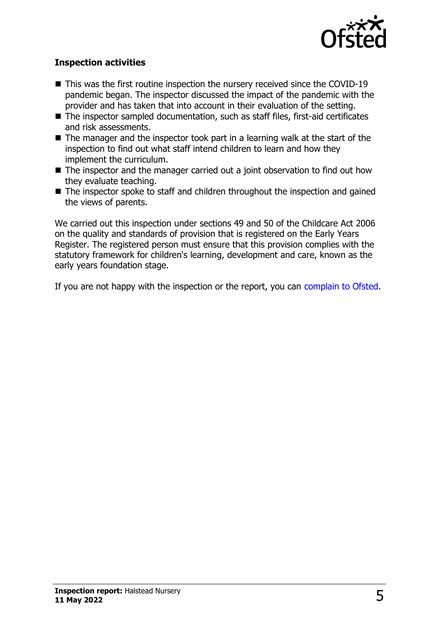

#### **Inspection activities**

- $\blacksquare$  This was the first routine inspection the nursery received since the COVID-19 pandemic began. The inspector discussed the impact of the pandemic with the provider and has taken that into account in their evaluation of the setting.
- $\blacksquare$  The inspector sampled documentation, such as staff files, first-aid certificates and risk assessments.
- $\blacksquare$  The manager and the inspector took part in a learning walk at the start of the inspection to find out what staff intend children to learn and how they implement the curriculum.
- $\blacksquare$  The inspector and the manager carried out a joint observation to find out how they evaluate teaching.
- The inspector spoke to staff and children throughout the inspection and gained the views of parents.

We carried out this inspection under sections 49 and 50 of the Childcare Act 2006 on the quality and standards of provision that is registered on the Early Years Register. The registered person must ensure that this provision complies with the statutory framework for children's learning, development and care, known as the early years foundation stage.

If you are not happy with the inspection or the report, you can [complain to Ofsted](http://www.gov.uk/complain-ofsted-report).